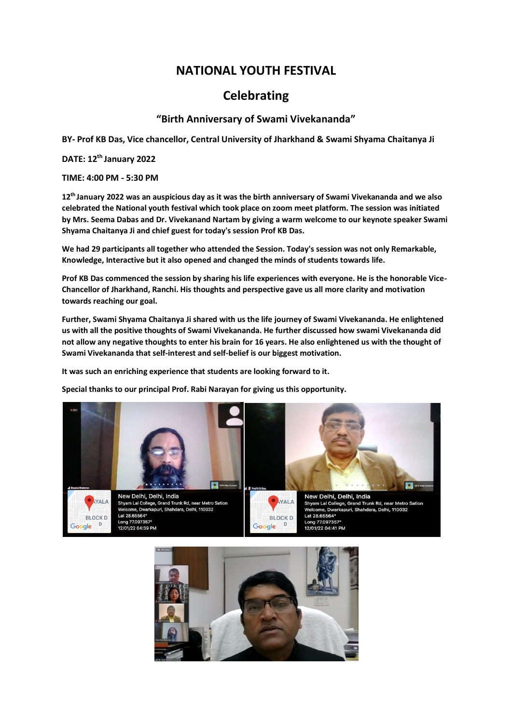## **NATIONAL YOUTH FESTIVAL**

## **Celebrating**

## **"Birth Anniversary of Swami Vivekananda"**

**BY- Prof KB Das, Vice chancellor, Central University of Jharkhand & Swami Shyama Chaitanya Ji** 

**DATE: 12th January 2022**

**TIME: 4:00 PM - 5:30 PM**

**12th January 2022 was an auspicious day as it was the birth anniversary of Swami Vivekananda and we also celebrated the National youth festival which took place on zoom meet platform. The session was initiated by Mrs. Seema Dabas and Dr. Vivekanand Nartam by giving a warm welcome to our keynote speaker Swami Shyama Chaitanya Ji and chief guest for today's session Prof KB Das.** 

**We had 29 participants all together who attended the Session. Today's session was not only Remarkable, Knowledge, Interactive but it also opened and changed the minds of students towards life.**

**Prof KB Das commenced the session by sharing his life experiences with everyone. He is the honorable Vice-Chancellor of Jharkhand, Ranchi. His thoughts and perspective gave us all more clarity and motivation towards reaching our goal.** 

**Further, Swami Shyama Chaitanya Ji shared with us the life journey of Swami Vivekananda. He enlightened us with all the positive thoughts of Swami Vivekananda. He further discussed how swami Vivekananda did not allow any negative thoughts to enter his brain for 16 years. He also enlightened us with the thought of Swami Vivekananda that self-interest and self-belief is our biggest motivation.**

**It was such an enriching experience that students are looking forward to it.**

**Special thanks to our principal Prof. Rabi Narayan for giving us this opportunity.**